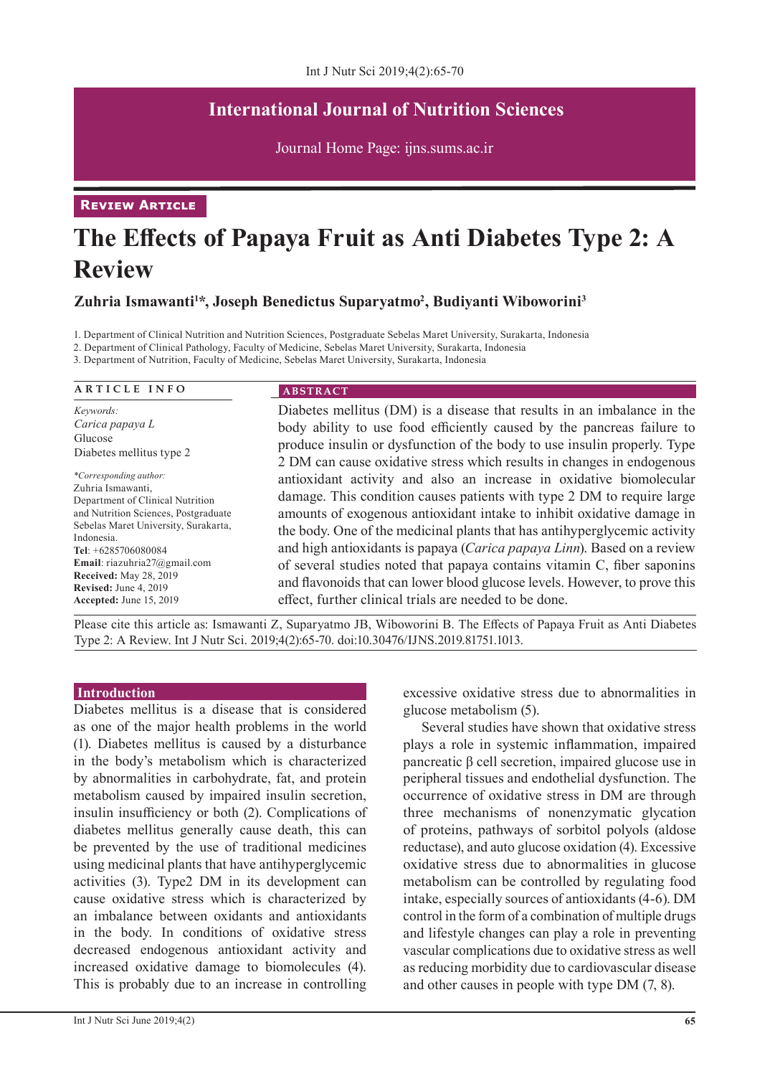# **International Journal of Nutrition Sciences**

Journal Home Page: ijns.sums.ac.ir

**Review Article** 

# **The Effects of Papaya Fruit as Anti Diabetes Type 2: A Review**

**Zuhria Ismawanti<sup>1</sup> \*, Joseph Benedictus Suparyatmo2 , Budiyanti Wiboworini<sup>3</sup>**

1. Department of Clinical Nutrition and Nutrition Sciences, Postgraduate Sebelas Maret University, Surakarta, Indonesia

2. Department of Clinical Pathology, Faculty of Medicine, Sebelas Maret University, Surakarta, Indonesia

3. Department of Nutrition, Faculty of Medicine, Sebelas Maret University, Surakarta, Indonesia

| <b>ARTICLE INFO</b>                                                                                                                                                                                                                                                                                                                    | <b>ABSTRACT</b>                                                                                                                                                                                                                                                                                                                                                                                                                                                                                                                                                                                    |
|----------------------------------------------------------------------------------------------------------------------------------------------------------------------------------------------------------------------------------------------------------------------------------------------------------------------------------------|----------------------------------------------------------------------------------------------------------------------------------------------------------------------------------------------------------------------------------------------------------------------------------------------------------------------------------------------------------------------------------------------------------------------------------------------------------------------------------------------------------------------------------------------------------------------------------------------------|
| Keywords:<br>Carica papaya L<br>Glucose<br>Diabetes mellitus type 2                                                                                                                                                                                                                                                                    | Diabetes mellitus (DM) is a disease that results in an imbalance in the<br>body ability to use food efficiently caused by the pancreas failure to<br>produce insulin or dysfunction of the body to use insulin properly. Type<br>2 DM can cause oxidative stress which results in changes in endogenous                                                                                                                                                                                                                                                                                            |
| *Corresponding author:<br>Zuhria Ismawanti.<br>Department of Clinical Nutrition<br>and Nutrition Sciences, Postgraduate<br>Sebelas Maret University, Surakarta,<br>Indonesia.<br>Tel: $+6285706080084$<br>Email: riazuhria $27@g$ mail.com<br><b>Received:</b> May 28, 2019<br><b>Revised:</b> June 4, 2019<br>Accepted: June 15, 2019 | antioxidant activity and also an increase in oxidative biomolecular<br>damage. This condition causes patients with type 2 DM to require large<br>amounts of exogenous antioxidant intake to inhibit oxidative damage in<br>the body. One of the medicinal plants that has antihyperglycemic activity<br>and high antioxidants is papaya (Carica papaya Linn). Based on a review<br>of several studies noted that papaya contains vitamin C, fiber saponins<br>and flavonoids that can lower blood glucose levels. However, to prove this<br>effect, further clinical trials are needed to be done. |

Please cite this article as: Ismawanti Z, Suparyatmo JB, Wiboworini B. The Effects of Papaya Fruit as Anti Diabetes Type 2: A Review. Int J Nutr Sci. 2019;4(2):65-70. doi:10.30476/IJNS.2019.81751.1013.

#### **Introduction**

Diabetes mellitus is a disease that is considered as one of the major health problems in the world (1). Diabetes mellitus is caused by a disturbance in the body's metabolism which is characterized by abnormalities in carbohydrate, fat, and protein metabolism caused by impaired insulin secretion, insulin insufficiency or both (2). Complications of diabetes mellitus generally cause death, this can be prevented by the use of traditional medicines using medicinal plants that have antihyperglycemic activities (3). Type2 DM in its development can cause oxidative stress which is characterized by an imbalance between oxidants and antioxidants in the body. In conditions of oxidative stress decreased endogenous antioxidant activity and increased oxidative damage to biomolecules (4). This is probably due to an increase in controlling

excessive oxidative stress due to abnormalities in glucose metabolism (5).

Several studies have shown that oxidative stress plays a role in systemic inflammation, impaired pancreatic β cell secretion, impaired glucose use in peripheral tissues and endothelial dysfunction. The occurrence of oxidative stress in DM are through three mechanisms of nonenzymatic glycation of proteins, pathways of sorbitol polyols (aldose reductase), and auto glucose oxidation (4). Excessive oxidative stress due to abnormalities in glucose metabolism can be controlled by regulating food intake, especially sources of antioxidants (4-6). DM control in the form of a combination of multiple drugs and lifestyle changes can play a role in preventing vascular complications due to oxidative stress as well as reducing morbidity due to cardiovascular disease and other causes in people with type DM (7, 8).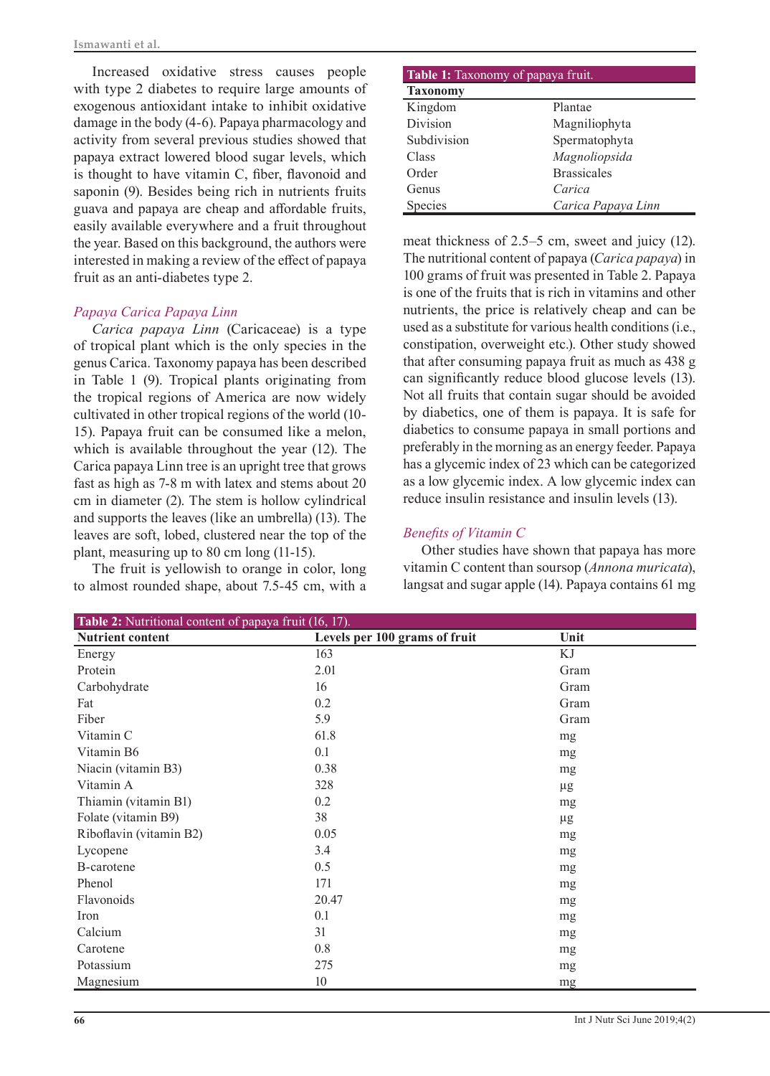Increased oxidative stress causes people with type 2 diabetes to require large amounts of exogenous antioxidant intake to inhibit oxidative damage in the body (4-6). Papaya pharmacology and activity from several previous studies showed that papaya extract lowered blood sugar levels, which is thought to have vitamin C, fiber, flavonoid and saponin (9). Besides being rich in nutrients fruits guava and papaya are cheap and affordable fruits, easily available everywhere and a fruit throughout the year. Based on this background, the authors were interested in making a review of the effect of papaya fruit as an anti-diabetes type 2.

## *Papaya Carica Papaya Linn*

*Carica papaya Linn* (Caricaceae) is a type of tropical plant which is the only species in the genus Carica. Taxonomy papaya has been described in Table 1 (9). Tropical plants originating from the tropical regions of America are now widely cultivated in other tropical regions of the world (10- 15). Papaya fruit can be consumed like a melon, which is available throughout the year (12). The Carica papaya Linn tree is an upright tree that grows fast as high as 7-8 m with latex and stems about 20 cm in diameter (2). The stem is hollow cylindrical and supports the leaves (like an umbrella) (13). The leaves are soft, lobed, clustered near the top of the plant, measuring up to 80 cm long (11-15).

The fruit is yellowish to orange in color, long to almost rounded shape, about 7.5-45 cm, with a

| Table 1: Taxonomy of papaya fruit. |                    |  |  |
|------------------------------------|--------------------|--|--|
| <b>Taxonomy</b>                    |                    |  |  |
| Kingdom                            | Plantae            |  |  |
| Division                           | Magniliophyta      |  |  |
| Subdivision                        | Spermatophyta      |  |  |
| Class                              | Magnoliopsida      |  |  |
| Order                              | <b>Brassicales</b> |  |  |
| Genus                              | Carica             |  |  |
| Species                            | Carica Papaya Linn |  |  |

meat thickness of 2.5–5 cm, sweet and juicy (12). The nutritional content of papaya (*Carica papaya*) in 100 grams of fruit was presented in Table 2. Papaya is one of the fruits that is rich in vitamins and other nutrients, the price is relatively cheap and can be used as a substitute for various health conditions (i.e., constipation, overweight etc.). Other study showed that after consuming papaya fruit as much as 438 g can significantly reduce blood glucose levels (13). Not all fruits that contain sugar should be avoided by diabetics, one of them is papaya. It is safe for diabetics to consume papaya in small portions and preferably in the morning as an energy feeder. Papaya has a glycemic index of 23 which can be categorized as a low glycemic index. A low glycemic index can reduce insulin resistance and insulin levels (13).

# *Benefits of Vitamin C*

Other studies have shown that papaya has more vitamin C content than soursop (*Annona muricata*), langsat and sugar apple (14). Papaya contains 61 mg

| <b>Table 2:</b> Nutritional content of papaya fruit (16, 17). |                               |         |  |
|---------------------------------------------------------------|-------------------------------|---------|--|
| <b>Nutrient content</b>                                       | Levels per 100 grams of fruit | Unit    |  |
| Energy                                                        | 163                           | ΚJ      |  |
| Protein                                                       | 2.01                          | Gram    |  |
| Carbohydrate                                                  | 16                            | Gram    |  |
| Fat                                                           | 0.2                           | Gram    |  |
| Fiber                                                         | 5.9                           | Gram    |  |
| Vitamin C                                                     | 61.8                          | mg      |  |
| Vitamin B6                                                    | 0.1                           | mg      |  |
| Niacin (vitamin B3)                                           | 0.38                          | mg      |  |
| Vitamin A                                                     | 328                           | $\mu$ g |  |
| Thiamin (vitamin B1)                                          | 0.2                           | mg      |  |
| Folate (vitamin B9)                                           | 38                            | $\mu$ g |  |
| Riboflavin (vitamin B2)                                       | 0.05                          | mg      |  |
| Lycopene                                                      | 3.4                           | mg      |  |
| B-carotene                                                    | 0.5                           | mg      |  |
| Phenol                                                        | 171                           | mg      |  |
| Flavonoids                                                    | 20.47                         | mg      |  |
| Iron                                                          | 0.1                           | mg      |  |
| Calcium                                                       | 31                            | mg      |  |
| Carotene                                                      | 0.8                           | mg      |  |
| Potassium                                                     | 275                           | mg      |  |
| Magnesium                                                     | 10                            | mg      |  |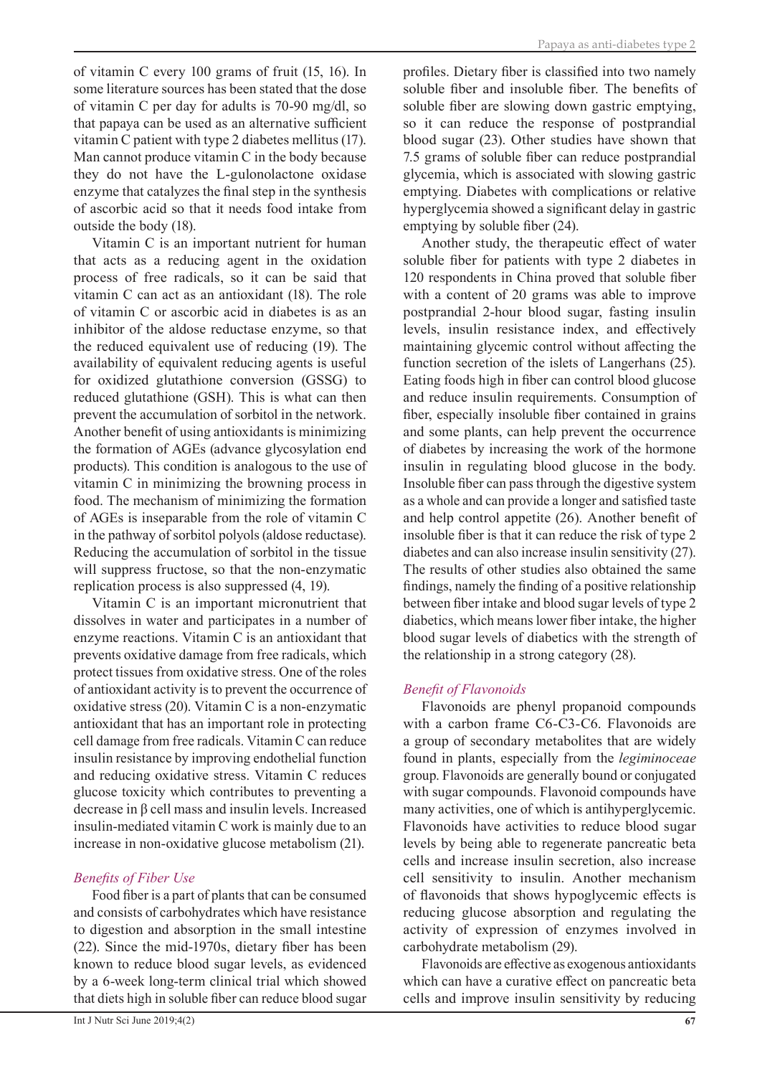of vitamin C every 100 grams of fruit (15, 16). In some literature sources has been stated that the dose of vitamin C per day for adults is 70-90 mg/dl, so that papaya can be used as an alternative sufficient vitamin C patient with type 2 diabetes mellitus (17). Man cannot produce vitamin C in the body because they do not have the L-gulonolactone oxidase enzyme that catalyzes the final step in the synthesis of ascorbic acid so that it needs food intake from outside the body (18).

Vitamin C is an important nutrient for human that acts as a reducing agent in the oxidation process of free radicals, so it can be said that vitamin C can act as an antioxidant (18). The role of vitamin C or ascorbic acid in diabetes is as an inhibitor of the aldose reductase enzyme, so that the reduced equivalent use of reducing (19). The availability of equivalent reducing agents is useful for oxidized glutathione conversion (GSSG) to reduced glutathione (GSH). This is what can then prevent the accumulation of sorbitol in the network. Another benefit of using antioxidants is minimizing the formation of AGEs (advance glycosylation end products). This condition is analogous to the use of vitamin C in minimizing the browning process in food. The mechanism of minimizing the formation of AGEs is inseparable from the role of vitamin C in the pathway of sorbitol polyols (aldose reductase). Reducing the accumulation of sorbitol in the tissue will suppress fructose, so that the non-enzymatic replication process is also suppressed (4, 19).

Vitamin C is an important micronutrient that dissolves in water and participates in a number of enzyme reactions. Vitamin C is an antioxidant that prevents oxidative damage from free radicals, which protect tissues from oxidative stress. One of the roles of antioxidant activity is to prevent the occurrence of oxidative stress (20). Vitamin C is a non-enzymatic antioxidant that has an important role in protecting cell damage from free radicals. Vitamin C can reduce insulin resistance by improving endothelial function and reducing oxidative stress. Vitamin C reduces glucose toxicity which contributes to preventing a decrease in β cell mass and insulin levels. Increased insulin-mediated vitamin C work is mainly due to an increase in non-oxidative glucose metabolism (21).

#### *Benefits of Fiber Use*

Food fiber is a part of plants that can be consumed and consists of carbohydrates which have resistance to digestion and absorption in the small intestine (22). Since the mid-1970s, dietary fiber has been known to reduce blood sugar levels, as evidenced by a 6-week long-term clinical trial which showed that diets high in soluble fiber can reduce blood sugar

profiles. Dietary fiber is classified into two namely soluble fiber and insoluble fiber. The benefits of soluble fiber are slowing down gastric emptying, so it can reduce the response of postprandial blood sugar (23). Other studies have shown that 7.5 grams of soluble fiber can reduce postprandial glycemia, which is associated with slowing gastric emptying. Diabetes with complications or relative hyperglycemia showed a significant delay in gastric emptying by soluble fiber (24).

Another study, the therapeutic effect of water soluble fiber for patients with type 2 diabetes in 120 respondents in China proved that soluble fiber with a content of 20 grams was able to improve postprandial 2-hour blood sugar, fasting insulin levels, insulin resistance index, and effectively maintaining glycemic control without affecting the function secretion of the islets of Langerhans (25). Eating foods high in fiber can control blood glucose and reduce insulin requirements. Consumption of fiber, especially insoluble fiber contained in grains and some plants, can help prevent the occurrence of diabetes by increasing the work of the hormone insulin in regulating blood glucose in the body. Insoluble fiber can pass through the digestive system as a whole and can provide a longer and satisfied taste and help control appetite (26). Another benefit of insoluble fiber is that it can reduce the risk of type 2 diabetes and can also increase insulin sensitivity (27). The results of other studies also obtained the same findings, namely the finding of a positive relationship between fiber intake and blood sugar levels of type 2 diabetics, which means lower fiber intake, the higher blood sugar levels of diabetics with the strength of the relationship in a strong category (28).

## *Benefit of Flavonoids*

Flavonoids are phenyl propanoid compounds with a carbon frame C6-C3-C6. Flavonoids are a group of secondary metabolites that are widely found in plants, especially from the *legiminoceae* group. Flavonoids are generally bound or conjugated with sugar compounds. Flavonoid compounds have many activities, one of which is antihyperglycemic. Flavonoids have activities to reduce blood sugar levels by being able to regenerate pancreatic beta cells and increase insulin secretion, also increase cell sensitivity to insulin. Another mechanism of flavonoids that shows hypoglycemic effects is reducing glucose absorption and regulating the activity of expression of enzymes involved in carbohydrate metabolism (29).

Flavonoids are effective as exogenous antioxidants which can have a curative effect on pancreatic beta cells and improve insulin sensitivity by reducing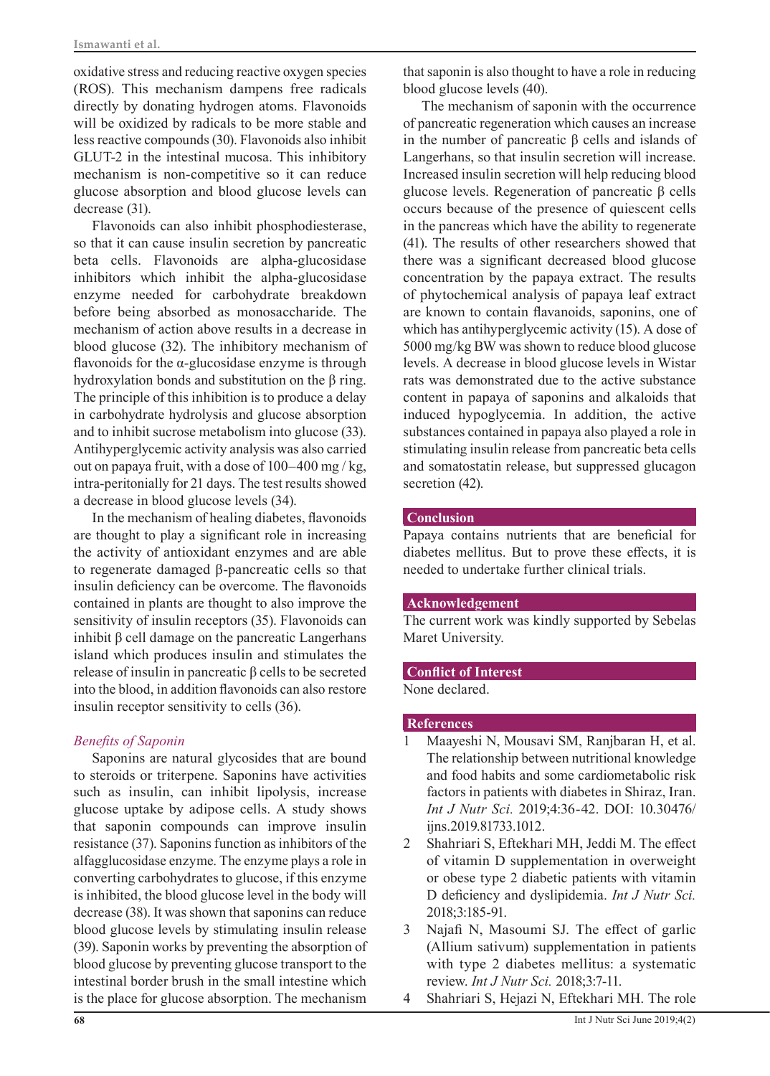oxidative stress and reducing reactive oxygen species (ROS). This mechanism dampens free radicals directly by donating hydrogen atoms. Flavonoids will be oxidized by radicals to be more stable and less reactive compounds (30). Flavonoids also inhibit GLUT-2 in the intestinal mucosa. This inhibitory mechanism is non-competitive so it can reduce glucose absorption and blood glucose levels can decrease (31).

Flavonoids can also inhibit phosphodiesterase, so that it can cause insulin secretion by pancreatic beta cells. Flavonoids are alpha-glucosidase inhibitors which inhibit the alpha-glucosidase enzyme needed for carbohydrate breakdown before being absorbed as monosaccharide. The mechanism of action above results in a decrease in blood glucose (32). The inhibitory mechanism of flavonoids for the  $\alpha$ -glucosidase enzyme is through hydroxylation bonds and substitution on the β ring. The principle of this inhibition is to produce a delay in carbohydrate hydrolysis and glucose absorption and to inhibit sucrose metabolism into glucose (33). Antihyperglycemic activity analysis was also carried out on papaya fruit, with a dose of  $100-400$  mg / kg, intra-peritonially for 21 days. The test results showed a decrease in blood glucose levels (34).

In the mechanism of healing diabetes, flavonoids are thought to play a significant role in increasing the activity of antioxidant enzymes and are able to regenerate damaged β-pancreatic cells so that insulin deficiency can be overcome. The flavonoids contained in plants are thought to also improve the sensitivity of insulin receptors (35). Flavonoids can inhibit  $β$  cell damage on the pancreatic Langerhans island which produces insulin and stimulates the release of insulin in pancreatic β cells to be secreted into the blood, in addition flavonoids can also restore insulin receptor sensitivity to cells (36).

## *Benefits of Saponin*

Saponins are natural glycosides that are bound to steroids or triterpene. Saponins have activities such as insulin, can inhibit lipolysis, increase glucose uptake by adipose cells. A study shows that saponin compounds can improve insulin resistance (37). Saponins function as inhibitors of the alfagglucosidase enzyme. The enzyme plays a role in converting carbohydrates to glucose, if this enzyme is inhibited, the blood glucose level in the body will decrease (38). It was shown that saponins can reduce blood glucose levels by stimulating insulin release (39). Saponin works by preventing the absorption of blood glucose by preventing glucose transport to the intestinal border brush in the small intestine which is the place for glucose absorption. The mechanism

that saponin is also thought to have a role in reducing blood glucose levels (40).

The mechanism of saponin with the occurrence of pancreatic regeneration which causes an increase in the number of pancreatic β cells and islands of Langerhans, so that insulin secretion will increase. Increased insulin secretion will help reducing blood glucose levels. Regeneration of pancreatic β cells occurs because of the presence of quiescent cells in the pancreas which have the ability to regenerate (41). The results of other researchers showed that there was a significant decreased blood glucose concentration by the papaya extract. The results of phytochemical analysis of papaya leaf extract are known to contain flavanoids, saponins, one of which has antihyperglycemic activity (15). A dose of 5000 mg/kg BW was shown to reduce blood glucose levels. A decrease in blood glucose levels in Wistar rats was demonstrated due to the active substance content in papaya of saponins and alkaloids that induced hypoglycemia. In addition, the active substances contained in papaya also played a role in stimulating insulin release from pancreatic beta cells and somatostatin release, but suppressed glucagon secretion  $(42)$ .

## **Conclusion**

Papaya contains nutrients that are beneficial for diabetes mellitus. But to prove these effects, it is needed to undertake further clinical trials.

## **Acknowledgement**

The current work was kindly supported by Sebelas Maret University.

#### **Conflict of Interest**

None declared.

## **References**

- 1 Maayeshi N, Mousavi SM, Ranjbaran H, et al. The relationship between nutritional knowledge and food habits and some cardiometabolic risk factors in patients with diabetes in Shiraz, Iran. *Int J Nutr Sci.* 2019;4:36-42. DOI: 10.30476/ ijns.2019.81733.1012.
- 2 Shahriari S, Eftekhari MH, Jeddi M. The effect of vitamin D supplementation in overweight or obese type 2 diabetic patients with vitamin D deficiency and dyslipidemia. *Int J Nutr Sci.* 2018;3:185-91.
- 3 Najafi N, Masoumi SJ. The effect of garlic (Allium sativum) supplementation in patients with type 2 diabetes mellitus: a systematic review. *Int J Nutr Sci.* 2018;3:7-11.
- 4 Shahriari S, Hejazi N, Eftekhari MH. The role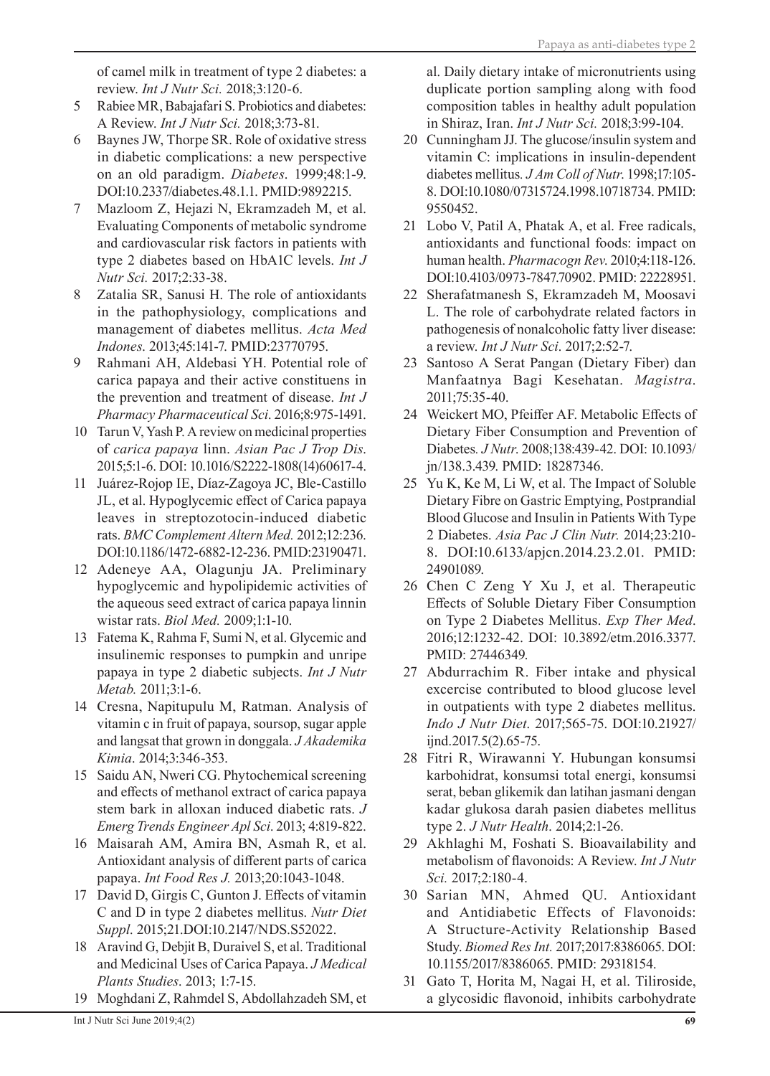of camel milk in treatment of type 2 diabetes: a review. *Int J Nutr Sci.* 2018;3:120-6.

- 5 Rabiee MR, Babajafari S. Probiotics and diabetes: A Review. *Int J Nutr Sci.* 2018;3:73-81.
- 6 Baynes JW, Thorpe SR. Role of oxidative stress in diabetic complications: a new perspective on an old paradigm. *Diabetes*. 1999;48:1-9. [DOI:10.2337/diabetes.48.1.1.](https://doi.org/10.2337/diabetes.48.1.1) PMID:9892215.
- 7 Mazloom Z, Hejazi N, Ekramzadeh M, et al. Evaluating Components of metabolic syndrome and cardiovascular risk factors in patients with type 2 diabetes based on HbA1C levels. *Int J Nutr Sci.* 2017;2:33-38.
- 8 Zatalia SR, Sanusi H. The role of antioxidants in the pathophysiology, complications and management of diabetes mellitus. *Acta Med Indones*. 2013;45:141-7. PMID:23770795.
- 9 Rahmani AH, Aldebasi YH. Potential role of carica papaya and their active constituens in the prevention and treatment of disease. *Int J Pharmacy Pharmaceutical Sci*. 2016;8:975-1491.
- 10 Tarun V, Yash P. A review on medicinal properties of *carica papaya* linn. *Asian Pac J Trop Dis*. 2015;5:1-6. [DOI: 10.1016/S2222-1808\(14\)60617-4](https://doi.org/10.1016/S2222-1808(14)60617-4).
- 11 Juárez-Rojop IE, Díaz-Zagoya JC, Ble-Castillo JL, et al. Hypoglycemic effect of Carica papaya leaves in streptozotocin-induced diabetic rats. *BMC Complement Altern Med.* 2012;12:236. DOI:10.1186/1472-6882-12-236. PMID:23190471.
- 12 Adeneye AA, Olagunju JA. Preliminary hypoglycemic and hypolipidemic activities of the aqueous seed extract of carica papaya linnin wistar rats. *Biol Med.* 2009;1:1-10.
- 13 Fatema K, Rahma F, Sumi N, et al. Glycemic and insulinemic responses to pumpkin and unripe papaya in type 2 diabetic subjects. *Int J Nutr Metab.* 2011;3:1-6.
- 14 Cresna, Napitupulu M, Ratman. Analysis of vitamin c in fruit of papaya, soursop, sugar apple and langsat that grown in donggala. *J Akademika Kimia*. 2014;3:346-353.
- 15 Saidu AN, Nweri CG. Phytochemical screening and effects of methanol extract of carica papaya stem bark in alloxan induced diabetic rats. *J Emerg Trends Engineer Apl Sci*. 2013; 4:819-822.
- 16 Maisarah AM, Amira BN, Asmah R, et al. Antioxidant analysis of different parts of carica papaya. *Int Food Res J.* 2013;20:1043-1048.
- 17 David D, Girgis C, Gunton J. Effects of vitamin C and D in type 2 diabetes mellitus. *Nutr Diet Suppl*. 2015;21.DOI:10.2147/NDS.S52022.
- 18 Aravind G, Debjit B, Duraivel S, et al. Traditional and Medicinal Uses of Carica Papaya. *J Medical Plants Studies*. 2013; 1:7-15.
- 19 Moghdani Z, Rahmdel S, Abdollahzadeh SM, et

al. Daily dietary intake of micronutrients using duplicate portion sampling along with food composition tables in healthy adult population in Shiraz, Iran. *Int J Nutr Sci.* 2018;3:99-104.

- 20 Cunningham JJ. The glucose/insulin system and vitamin C: implications in insulin-dependent diabetes mellitus*. J Am Coll of Nutr*. 1998;17:105- 8. [DOI:10.1080/07315724.1998.10718734](https://doi.org/10.1080/07315724.1998.10718734). PMID: 9550452.
- 21 Lobo V, Patil A, Phatak A, et al. Free radicals, antioxidants and functional foods: impact on human health. *Pharmacogn Rev*. 2010;4:118-126. DOI:10.4103/0973-7847.70902. PMID: 22228951.
- 22 Sherafatmanesh S, Ekramzadeh M, Moosavi L. The role of carbohydrate related factors in pathogenesis of nonalcoholic fatty liver disease: a review. *Int J Nutr Sci*. 2017;2:52-7.
- 23 Santoso A Serat Pangan (Dietary Fiber) dan Manfaatnya Bagi Kesehatan. *Magistra*. 2011;75:35-40.
- 24 Weickert MO, Pfeiffer AF. Metabolic Effects of Dietary Fiber Consumption and Prevention of Diabetes*. J Nutr*. 2008;138:439-42. DOI: 10.1093/ jn/138.3.439. PMID: 18287346.
- 25 Yu K, Ke M, Li W, et al. The Impact of Soluble Dietary Fibre on Gastric Emptying, Postprandial Blood Glucose and Insulin in Patients With Type 2 Diabetes. *Asia Pac J Clin Nutr.* 2014;23:210- 8. [DOI:10.6133/apjcn.2014.23.2.01](https://doi.org/10.6133/apjcn.2014.23.2.01). PMID: 24901089.
- 26 Chen C Zeng Y Xu J, et al. Therapeutic Effects of Soluble Dietary Fiber Consumption on Type 2 Diabetes Mellitus. *Exp Ther Med*. 2016;12:1232-42. [DOI: 10.3892/etm.2016.3377.](https://doi.org/10.3892/etm.2016.3377) PMID: 27446349.
- 27 Abdurrachim R. Fiber intake and physical excercise contributed to blood glucose level in outpatients with type 2 diabetes mellitus. *Indo J Nutr Diet*. 2017;565-75. [DOI:10.21927/](https://doi.org/http://dx.doi.org/10.21927/ijnd.2017.5(2).65-75) [ijnd.2017.5\(2\).65-75](https://doi.org/http://dx.doi.org/10.21927/ijnd.2017.5(2).65-75).
- 28 Fitri R, Wirawanni Y. Hubungan konsumsi karbohidrat, konsumsi total energi, konsumsi serat, beban glikemik dan latihan jasmani dengan kadar glukosa darah pasien diabetes mellitus type 2. *J Nutr Health*. 2014;2:1-26.
- 29 Akhlaghi M, Foshati S. Bioavailability and metabolism of flavonoids: A Review. *Int J Nutr Sci.* 2017;2:180-4.
- 30 Sarian MN, Ahmed QU. Antioxidant and Antidiabetic Effects of Flavonoids: A Structure-Activity Relationship Based Study. *Biomed Res Int.* 2017;2017:8386065. DOI: 10.1155/2017/8386065. PMID: 29318154.
- 31 Gato T, Horita M, Nagai H, et al. Tiliroside, a glycosidic flavonoid, inhibits carbohydrate